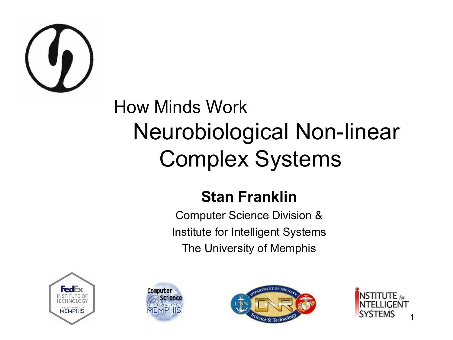

#### How Minds Work Neurobiological Non-linear Complex Systems

#### **Stan Franklin**

Computer Science Division & Institute for Intelligent Systems The University of Memphis







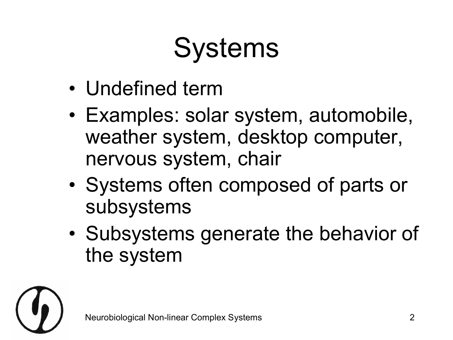# Systems

- Undefined term
- Examples: solar system, automobile, weather system, desktop computer, nervous system, chair
- Systems often composed of parts or subsystems
- Subsystems generate the behavior of the system

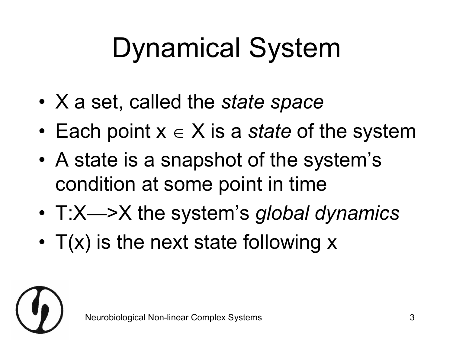# Dynamical System

- X a set, called the *state space*
- Each point  $x \in X$  is a *state* of the system
- A state is a snapshot of the system's condition at some point in time
- T:X—>X the system's *global dynamics*
- $T(x)$  is the next state following  $x$

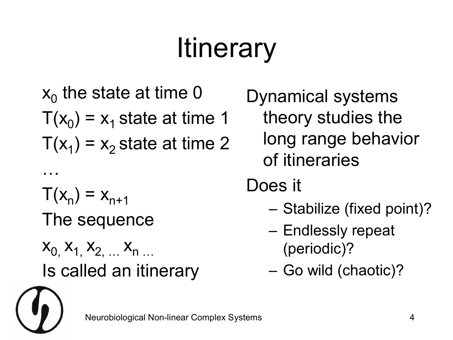# **Itinerary**

 $x_0$  the state at time 0  $T(x_0) = x_1$  state at time 1  $T(x_1) = x_2$  state at time 2 …  $T(x_n) = x_{n+1}$ The sequence  $X_0, X_1, X_2, \ldots, X_n, \ldots$ Is called an itinerary

Dynamical systems theory studies the long range behavior of itineraries

- Does it
	- Stabilize (fixed point)?
	- Endlessly repeat (periodic)?
	- Go wild (chaotic)?

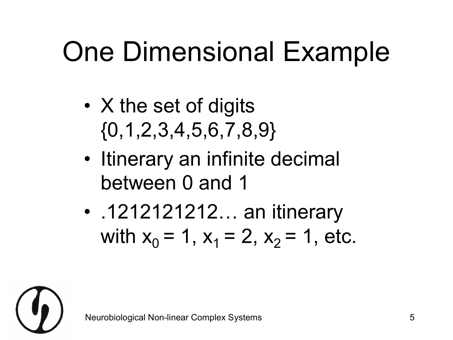# One Dimensional Example

- X the set of digits  $\{0, 1, 2, 3, 4, 5, 6, 7, 8, 9\}$
- Itinerary an infinite decimal between 0 and 1
- .1212121212... an itinerary with  $x_0 = 1$ ,  $x_1 = 2$ ,  $x_2 = 1$ , etc.

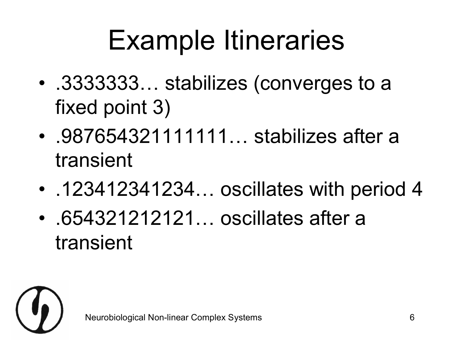#### Example Itineraries

- .3333333… stabilizes (converges to a fixed point 3)
- .987654321111111... stabilizes after a transient
- .123412341234... oscillates with period 4
- 654321212121... oscillates after a transient

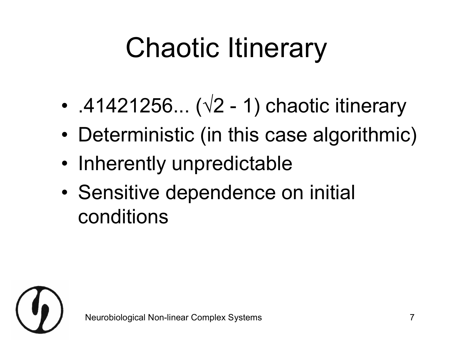# Chaotic Itinerary

- .41421256...  $(\sqrt{2} 1)$  chaotic itinerary
- Deterministic (in this case algorithmic)
- Inherently unpredictable
- Sensitive dependence on initial conditions

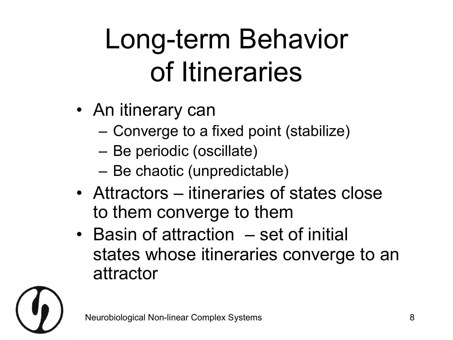# Long-term Behavior of Itineraries

- An itinerary can
	- Converge to a fixed point (stabilize)
	- Be periodic (oscillate)
	- Be chaotic (unpredictable)
- Attractors itineraries of states close to them converge to them
- Basin of attraction set of initial states whose itineraries converge to an attractor

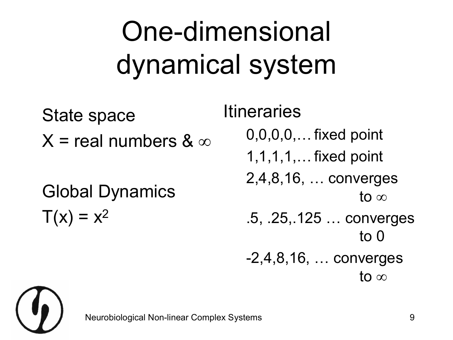# One-dimensional dynamical system

State space  $X =$  real numbers &  $\infty$ Global Dynamics  $T(x) = x^2$ 

**Itineraries** 

0,0,0,0,…fixed point

1,1,1,1,…fixed point

2,4,8,16, … converges to  $\infty$ 

- .5, .25,.125 … converges to 0
- 2,4,8,16, … converges to  $\infty$

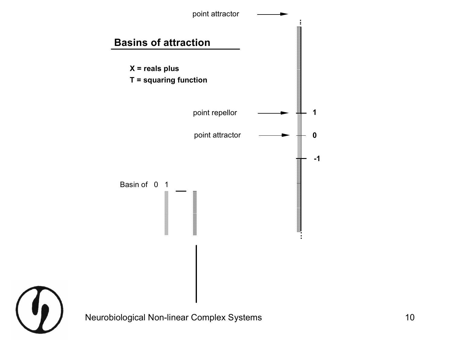

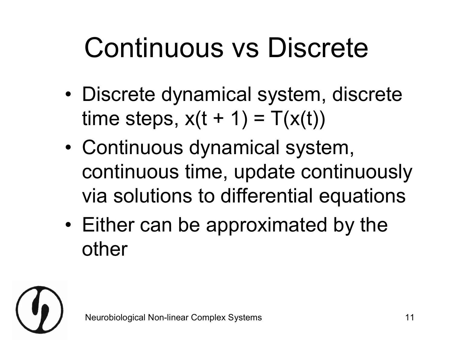### Continuous vs Discrete

- Discrete dynamical system, discrete time steps,  $x(t + 1) = T(x(t))$
- Continuous dynamical system, continuous time, update continuously via solutions to differential equations
- Either can be approximated by the other

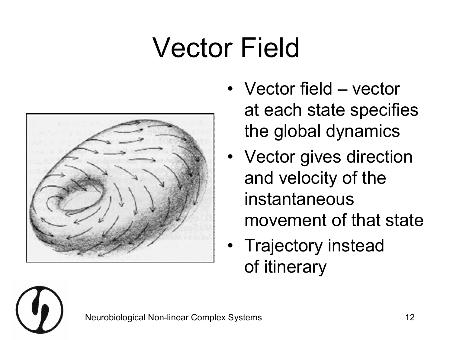### Vector Field



- Vector field vector at each state specifies the global dynamics
- Vector gives direction and velocity of the instantaneous movement of that state
- Trajectory instead of itinerary

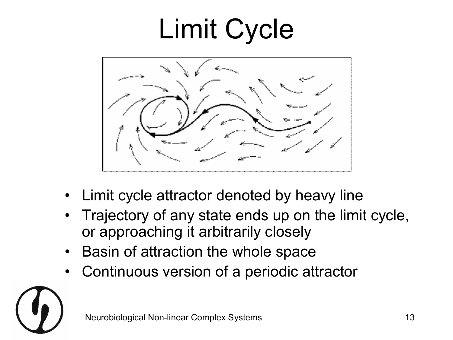# Limit Cycle



- Limit cycle attractor denoted by heavy line
- Trajectory of any state ends up on the limit cycle, or approaching it arbitrarily closely
- Basin of attraction the whole space
- Continuous version of a periodic attractor

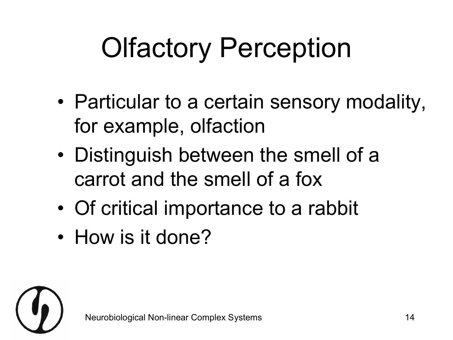# Olfactory Perception

- Particular to a certain sensory modality, for example, olfaction
- Distinguish between the smell of a carrot and the smell of a fox
- Of critical importance to a rabbit
- How is it done?

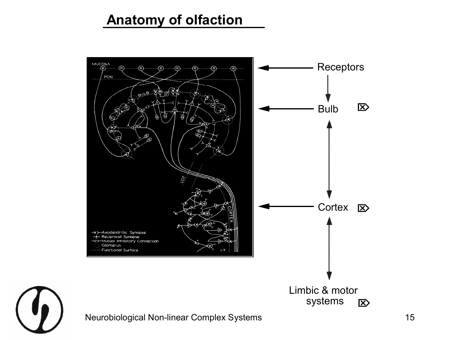#### **Anatomy of olfaction**



Neurobiological Non-linear Complex Systems 15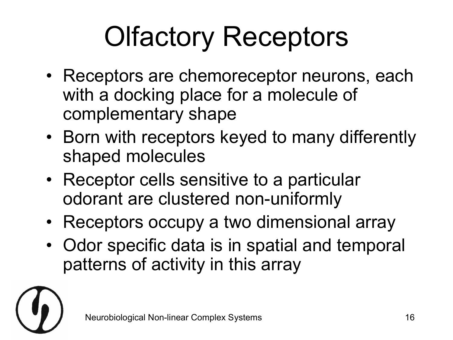# Olfactory Receptors

- Receptors are chemoreceptor neurons, each with a docking place for a molecule of complementary shape
- Born with receptors keyed to many differently shaped molecules
- Receptor cells sensitive to a particular odorant are clustered non-uniformly
- Receptors occupy a two dimensional array
- Odor specific data is in spatial and temporal patterns of activity in this array

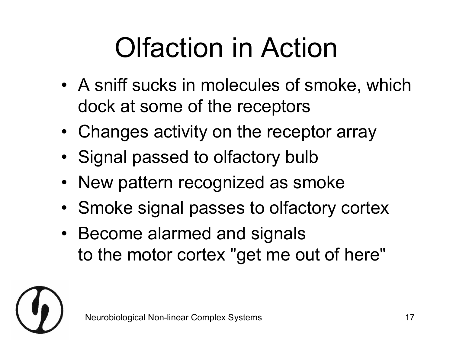# Olfaction in Action

- A sniff sucks in molecules of smoke, which dock at some of the receptors
- Changes activity on the receptor array
- Signal passed to olfactory bulb
- New pattern recognized as smoke
- Smoke signal passes to olfactory cortex
- Become alarmed and signals to the motor cortex "get me out of here"

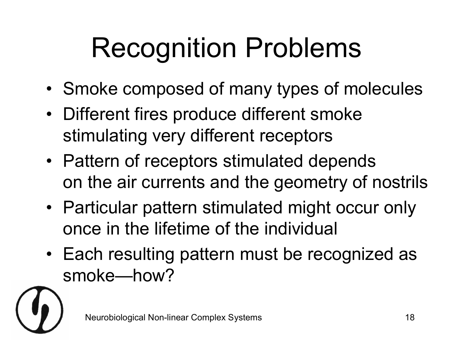# Recognition Problems

- Smoke composed of many types of molecules
- Different fires produce different smoke stimulating very different receptors
- Pattern of receptors stimulated depends on the air currents and the geometry of nostrils
- Particular pattern stimulated might occur only once in the lifetime of the individual
- Each resulting pattern must be recognized as smoke—how?

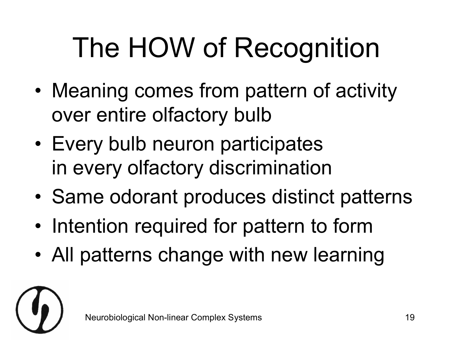# The HOW of Recognition

- Meaning comes from pattern of activity over entire olfactory bulb
- Every bulb neuron participates in every olfactory discrimination
- Same odorant produces distinct patterns
- Intention required for pattern to form
- All patterns change with new learning

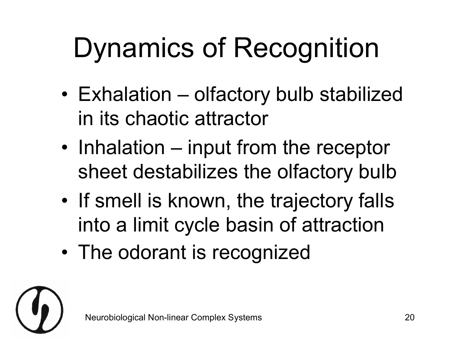# Dynamics of Recognition

- Exhalation olfactory bulb stabilized in its chaotic attractor
- Inhalation input from the receptor sheet destabilizes the olfactory bulb
- If smell is known, the trajectory falls into a limit cycle basin of attraction
- The odorant is recognized

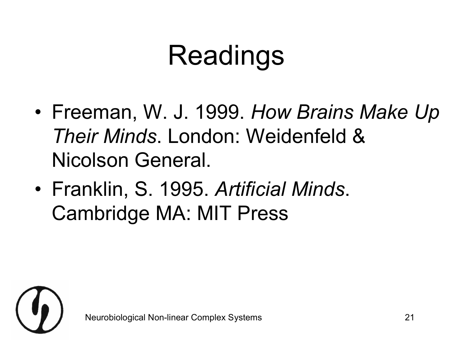### Readings

- Freeman, W. J. 1999. *How Brains Make Up Their Minds*. London: Weidenfeld & Nicolson General.
- Franklin, S. 1995. *Artificial Minds*. Cambridge MA: MIT Press